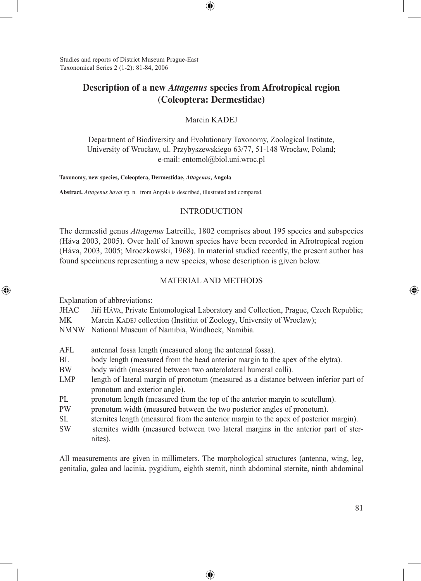Studies and reports of District Museum Prague-East Taxonomical Series 2 (1-2): 81-84, 2006

# **Description of a new** *Attagenus* **species from Afrotropical region (Coleoptera: Dermestidae)**

⊕

Marcin KADEJ

Department of Biodiversity and Evolutionary Taxonomy, Zoological Institute, University of Wrocław, ul. Przybyszewskiego 63/77, 51-148 Wrocław, Poland; e-mail: entomol@biol.uni.wroc.pl

#### **Taxonomy, new species, Coleoptera, Dermestidae,** *Attagenus***, Angola**

**Abstract.** *Attagenus havai* sp. n.from Angola is described, illustrated and compared.

### INTRODUCTION

The dermestid genus *Attagenus* Latreille, 1802 comprises about 195 species and subspecies (Háva 2003, 2005). Over half of known species have been recorded in Afrotropical region (Háva, 2003, 2005; Mroczkowski, 1968). In material studied recently, the present author has found specimens representing a new species, whose description is given below.

### MATERIAL AND METHODS

Explanation of abbreviations:

⊕

| <b>JHAC</b> |  |  |  | Jiří HÁVA, Private Entomological Laboratory and Collection, Prague, Czech Republic; |  |  |
|-------------|--|--|--|-------------------------------------------------------------------------------------|--|--|
|             |  |  |  |                                                                                     |  |  |

MK Marcin KADEJ collection (Institut of Zoology, University of Wroclaw);

NMNW National Museum of Namibia, Windhoek, Namibia.

- AFL antennal fossa length (measured along the antennal fossa).
- BL body length (measured from the head anterior margin to the apex of the elytra).
- BW body width (measured between two anterolateral humeral calli).
- LMP length of lateral margin of pronotum (measured as a distance between inferior part of pronotum and exterior angle).
- PL pronotum length (measured from the top of the anterior margin to scutellum).
- PW pronotum width (measured between the two posterior angles of pronotum).
- SL sternites length (measured from the anterior margin to the apex of posterior margin). SW sternites width (measured between two lateral margins in the anterior part of ster
	- nites).

All measurements are given in millimeters. The morphological structures (antenna, wing, leg, genitalia, galea and lacinia, pygidium, eighth sternit, ninth abdominal sternite, ninth abdominal

⊕

⊕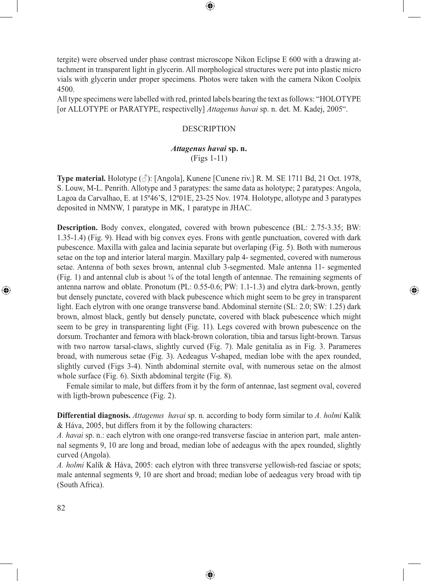tergite) were observed under phase contrast microscope Nikon Eclipse E 600 with a drawing attachment in transparent light in glycerin. All morphological structures were put into plastic micro vials with glycerin under proper specimens. Photos were taken with the camera Nikon Coolpix 4500.

⊕

All type specimens were labelled with red, printed labels bearing the text as follows: "HOLOTYPE [or ALLOTYPE or PARATYPE, respectivelly] *Attagenus havai* sp. n. det. M. Kadej, 2005".

### DESCRIPTION

## *Attagenus havai* **sp. n.** (Figs 1-11)

**Type material.** Holotype (♂): [Angola], Kunene [Cunene riv.] R. M. SE 1711 Bd, 21 Oct. 1978, S. Louw, M-L. Penrith. Allotype and 3 paratypes: the same data as holotype; 2 paratypes: Angola, Lagoa da Carvalhao, E. at 15º46'S, 12º01E, 23-25 Nov. 1974. Holotype, allotype and 3 paratypes deposited in NMNW, 1 paratype in MK, 1 paratype in JHAC.

**Description.** Body convex, elongated, covered with brown pubescence (BL: 2.75-3.35; BW: 1.35-1.4) (Fig. 9). Head with big convex eyes. Frons with gentle punctuation, covered with dark pubescence. Maxilla with galea and lacinia separate but overlaping (Fig. 5). Both with numerous setae on the top and interior lateral margin. Maxillary palp 4- segmented, covered with numerous setae. Antenna of both sexes brown, antennal club 3-segmented. Male antenna 11- segmented (Fig. 1) and antennal club is about ¾ of the total length of antennae. The remaining segments of antenna narrow and oblate. Pronotum (PL: 0.55-0.6; PW: 1.1-1.3) and elytra dark-brown, gently but densely punctate, covered with black pubescence which might seem to be grey in transparent light. Each elytron with one orange transverse band. Abdominal sternite (SL: 2.0; SW: 1.25) dark brown, almost black, gently but densely punctate, covered with black pubescence which might seem to be grey in transparenting light (Fig. 11). Legs covered with brown pubescence on the dorsum. Trochanter and femora with black-brown coloration, tibia and tarsus light-brown. Tarsus with two narrow tarsal-claws, slightly curved (Fig. 7). Male genitalia as in Fig. 3. Parameres broad, with numerous setae (Fig. 3). Aedeagus V-shaped, median lobe with the apex rounded, slightly curved (Figs 3-4). Ninth abdominal sternite oval, with numerous setae on the almost whole surface (Fig. 6). Sixth abdominal tergite (Fig. 8).

⊕

Female similar to male, but differs from it by the form of antennae, last segment oval, covered with ligth-brown pubescence (Fig. 2).

**Differential diagnosis.** *Attagenus havai* sp. n. according to body form similar to *A. holmi* Kalík & Háva, 2005, but differs from it by the following characters:

*A. havai* sp. n.: each elytron with one orange-red transverse fasciae in anterion part, male antennal segments 9, 10 are long and broad, median lobe of aedeagus with the apex rounded, slightly curved (Angola).

*A. holmi* Kalík & Háva, 2005: each elytron with three transverse yellowish-red fasciae or spots; male antennal segments 9, 10 are short and broad; median lobe of aedeagus very broad with tip (South Africa).

⊕

⊕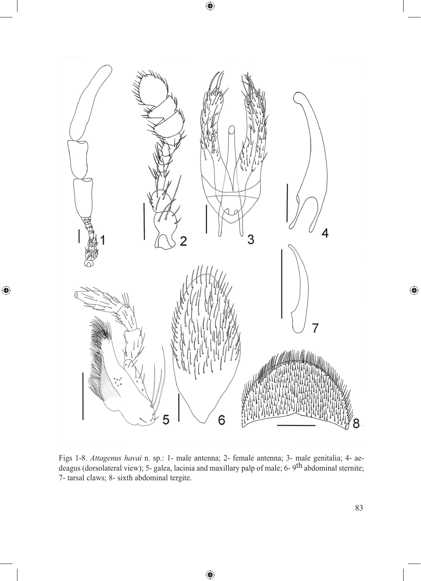

 $\bigoplus$ 

 $\bigoplus$ 

Figs 1-8. *Attagenus havai* n. sp.: 1- male antenna; 2- female antenna; 3- male genitalia; 4- aedeagus (dorsolateral view); 5- galea, lacinia and maxillary palp of male; 6-9<sup>th</sup> abdominal sternite; 7- tarsal claws; 8- sixth abdominal tergite.

 $\bigoplus$